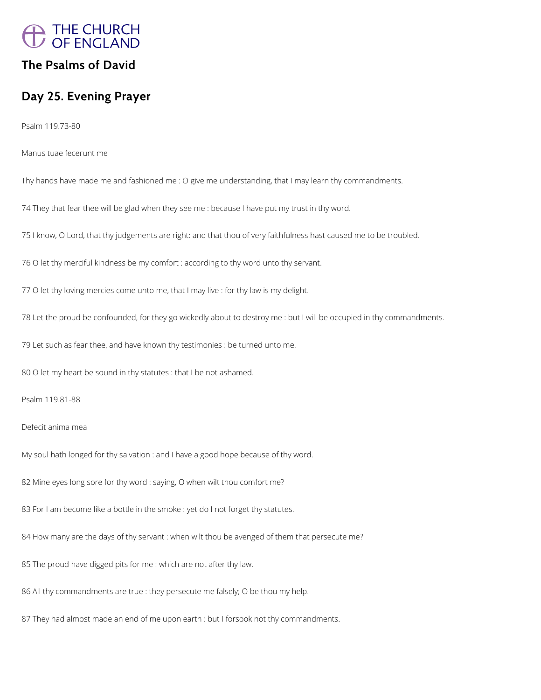

## **The Psalms of David**

## **Day 25. Evening Prayer**

Psalm 119.73-80

Manus tuae fecerunt me

Thy hands have made me and fashioned me : O give me understanding, that I may learn thy commandments.

74 They that fear thee will be glad when they see me : because I have put my trust in thy word.

75 I know, O Lord, that thy judgements are right: and that thou of very faithfulness hast caused me to be troubled.

76 O let thy merciful kindness be my comfort : according to thy word unto thy servant.

77 O let thy loving mercies come unto me, that I may live : for thy law is my delight.

78 Let the proud be confounded, for they go wickedly about to destroy me : but I will be occupied in thy commandments.

79 Let such as fear thee, and have known thy testimonies : be turned unto me.

80 O let my heart be sound in thy statutes : that I be not ashamed.

Psalm 119.81-88

Defecit anima mea

My soul hath longed for thy salvation : and I have a good hope because of thy word.

82 Mine eyes long sore for thy word : saying, O when wilt thou comfort me?

83 For I am become like a bottle in the smoke : yet do I not forget thy statutes.

84 How many are the days of thy servant : when wilt thou be avenged of them that persecute me?

85 The proud have digged pits for me : which are not after thy law.

86 All thy commandments are true : they persecute me falsely; O be thou my help.

87 They had almost made an end of me upon earth : but I forsook not thy commandments.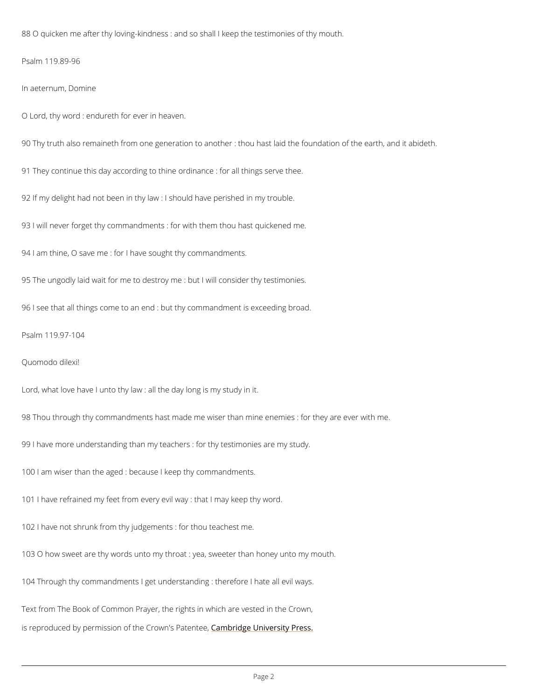88 O quicken me after thy loving-kindness : and so shall I keep the testimonies of thy mouth.

Psalm 119.89-96

In aeternum, Domine

O Lord thy word : endureth for ever in heaven.

90 Thy truth also remaineth from one generation to another : thou hast laid the foundation of

91 They continue this day according to thine ordinance : for all things serve thee.

92 If my delight had not been in thy law : I should have perished in my trouble.

931 will never forget thy commandments : for with them thou hast quickened me.

941 am thine, O save me : for I have sought thy commandments.

95 The ungodly laid wait for me to destroy me : but I will consider thy testimonies.

961 see that all things come to an end : but thy commandment is exceeding broad.

Psalm 119.97-104

Quomodo dilexi!

Lordwhat love have I unto thy law : all the day long is my study in it.

98 Thou through thy commandments hast made me wiser than mine enemies : for they are ever

99 I have more understanding than my teachers : for thy testimonies are my study.

100 I am wiser than the aged : because I keep thy commandments.

101 have refrained my feet from every evil way : that I may keep thy word.

102I have not shrunk from thy judgements : for thou teachest me.

1030 how sweet are thy words unto my throat : yea, sweeter than honey unto my mouth.

104 Through thy commandments I get understanding : therefore I hate all evil ways.

Text from The Book of Common Prayer, the rights in which are vested in the Crown,

is reproduced by permission of the  $C$   $\mathfrak s$  m down'd  $\mathfrak g$  e Pb indiversity Press.